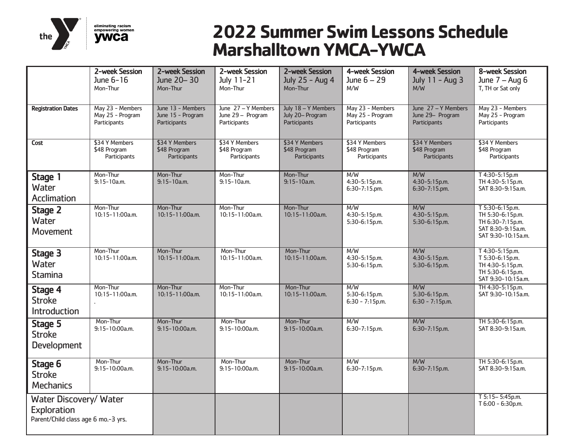

# **2022 Summer Swim Lessons Schedule Marshalltown YMCA-YWCA**

|                                                                              | 2-week Session<br>June 6-16                          | 2-week Session<br>June 20-30                           | 2-week Session<br>July 11-21                             | 2-week Session<br>July 25 - Aug 4                       | 4-week Session<br>June $6 - 29$                      | 4-week Session<br>July 11 - Aug 3                       | 8-week Session<br>June $7 - Aug 6$                                                                 |
|------------------------------------------------------------------------------|------------------------------------------------------|--------------------------------------------------------|----------------------------------------------------------|---------------------------------------------------------|------------------------------------------------------|---------------------------------------------------------|----------------------------------------------------------------------------------------------------|
|                                                                              | Mon-Thur                                             | Mon-Thur                                               | Mon-Thur                                                 | Mon-Thur                                                | M/W                                                  | M/W                                                     | T, TH or Sat only                                                                                  |
| <b>Registration Dates</b>                                                    | May 23 - Members<br>May 25 - Program<br>Participants | June 13 - Members<br>June 15 - Program<br>Participants | June 27 - Y Members<br>June 29 - Program<br>Participants | July 18 - Y Members<br>July 20- Program<br>Participants | May 23 - Members<br>May 25 - Program<br>Participants | June 27 - Y Members<br>June 29- Program<br>Participants | May 23 - Members<br>May 25 - Program<br>Participants                                               |
| Cost                                                                         | \$34 Y Members<br>\$48 Program<br>Participants       | \$34 Y Members<br>\$48 Program<br>Participants         | \$34 Y Members<br>\$48 Program<br>Participants           | \$34 Y Members<br>\$48 Program<br>Participants          | \$34 Y Members<br>\$48 Program<br>Participants       | \$34 Y Members<br>\$48 Program<br>Participants          | \$34 Y Members<br>\$48 Program<br>Participants                                                     |
| Stage 1<br>Water<br>Acclimation                                              | Mon-Thur<br>$9:15-10a.m.$                            | Mon-Thur<br>$9:15-10a.m.$                              | Mon-Thur<br>$9:15-10a.m.$                                | Mon-Thur<br>$9:15-10a.m.$                               | M/W<br>4:30-5:15p.m.<br>6:30-7:15.pm.                | M/W<br>4:30-5:15p.m.<br>6:30-7:15.pm.                   | T 4:30-5:15p.m<br>TH 4:30-5:15p.m.<br>SAT 8:30-9:15a.m.                                            |
| Stage 2<br>Water<br>Movement                                                 | Mon-Thur<br>10:15-11:00a.m.                          | Mon-Thur<br>10:15-11:00a.m.                            | Mon-Thur<br>10:15-11:00a.m.                              | Mon-Thur<br>10:15-11:00a.m.                             | M/W<br>4:30-5:15p.m.<br>5:30-6:15p.m.                | M/W<br>4:30-5:15p.m.<br>5:30-6:15p.m.                   | T 5:30-6:15p.m.<br>TH 5:30-6:15p.m.<br>TH 6:30-7:15p.m.<br>SAT 8:30-9:15a.m.<br>SAT 9:30-10:15a.m. |
| Stage 3<br>Water<br><b>Stamina</b>                                           | Mon-Thur<br>10:15-11:00a.m.                          | Mon-Thur<br>10:15-11:00a.m.                            | Mon-Thur<br>10:15-11:00a.m.                              | Mon-Thur<br>10:15-11:00a.m.                             | M/W<br>4:30-5:15p.m.<br>5:30-6:15p.m.                | M/W<br>4:30-5:15p.m.<br>5:30-6:15p.m.                   | T 4:30-5:15p.m.<br>T 5:30-6:15p.m.<br>TH 4:30-5:15p.m.<br>TH 5:30-6:15p.m.<br>SAT 9:30-10:15a.m.   |
| Stage 4<br><b>Stroke</b><br>Introduction                                     | Mon-Thur<br>10:15-11:00a.m.                          | Mon-Thur<br>10:15-11:00a.m.                            | Mon-Thur<br>10:15-11:00a.m.                              | Mon-Thur<br>10:15-11:00a.m.                             | M/W<br>5:30-6:15p.m.<br>$6:30 - 7:15p.m.$            | M/W<br>5:30-6:15p.m.<br>$6:30 - 7:15p.m.$               | TH 4:30-5:15p.m.<br>SAT 9:30-10:15a.m.                                                             |
| Stage 5<br><b>Stroke</b><br>Development                                      | Mon-Thur<br>$9:15-10:00a.m.$                         | Mon-Thur<br>9:15-10:00a.m.                             | Mon-Thur<br>$9:15-10:00a.m.$                             | Mon-Thur<br>$9:15-10:00a.m.$                            | M/W<br>6:30-7:15p.m.                                 | M/W<br>6:30-7:15p.m.                                    | TH 5:30-6:15p.m.<br>SAT 8:30-9:15a.m.                                                              |
| Stage 6<br><b>Stroke</b><br><b>Mechanics</b>                                 | Mon-Thur<br>$9:15-10:00a.m.$                         | Mon-Thur<br>$9:15-10:00a.m.$                           | Mon-Thur<br>$9:15-10:00a.m.$                             | Mon-Thur<br>$9:15-10:00a.m.$                            | M/W<br>$6:30-7:15p.m.$                               | M/W<br>6:30-7:15p.m.                                    | TH 5:30-6:15p.m.<br>SAT 8:30-9:15a.m.                                                              |
| Water Discovery/ Water<br>Exploration<br>Parent/Child class age 6 mo.-3 yrs. |                                                      |                                                        |                                                          |                                                         |                                                      |                                                         | T 5:15-5:45p.m.<br>T 6:00 - 6:30p.m.                                                               |